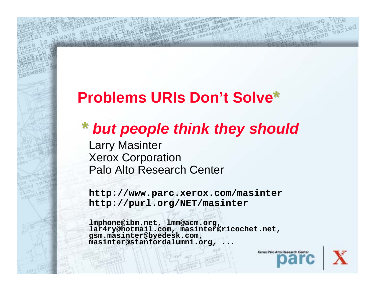## **Problems URIs Don't Solve \***

**\*** *but people think they should*

Larry Masinter Xerox Corporation Palo Alto Research Center

**http://www.parc.xerox.com/masinter http://purl.org/NET/masinter**

**lmphone@ibm.net, lmm@acm.org, lar4ry@hotmail.com, masinter@ricochet.net, gsm.masinter@byedesk.com, masinter@stanfordalumni.org, ...**

Xerox Palo Alto Research Center

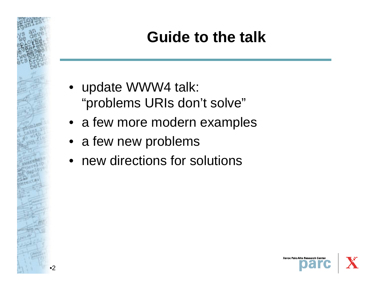## **Guide to the talk**

- update WWW4 talk: "problems URIs don't solve"
- a few more modern examples
- a few new problems
- new directions for solutions

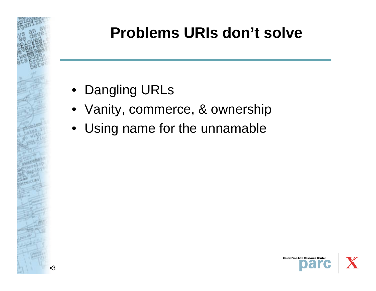## **Problems URIs don't solve**

- Dangling URLs
- Vanity, commerce, & ownership
- Using name for the unnamable

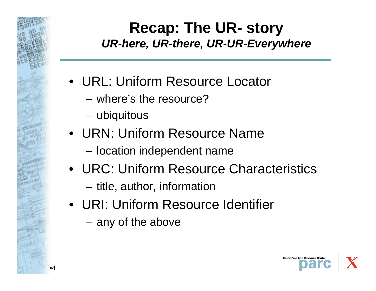#### **Recap: The UR- story** *UR-here, UR-there, UR-UR-Everywhere*

- URL: Uniform Resource Locator
	- where's the resource?
	- **Links of the Common** ubiquitous
- URN: Uniform Resource Name
	- –location independent name
- URC: Uniform Resource Characteristics
	- and the state of the title, author, information
- URI: Uniform Resource Identifier
	- **Links of the Common** any of the above

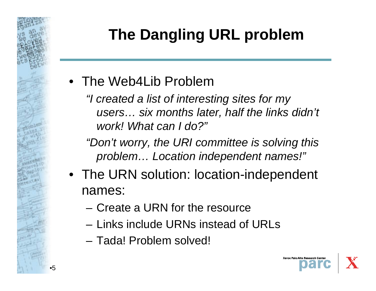# **The Dangling URL problem**

- The Web4Lib Problem
	- *"I created a list of interesting sites for my users… six months later, half the links didn't work! What can I do?"*

*"Don't worry, the URI committee is solving this problem… Location independent names!"*

- The URN solution: location-independent names:
	- Create a URN for the resource
	- Links include URNs instead of URLs
	- Tada! Problem solved!

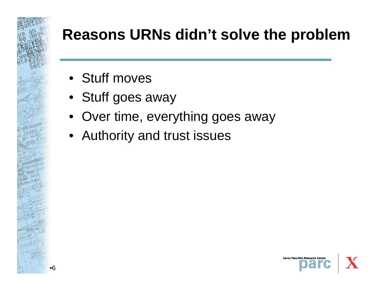## **Reasons URNs didn't solve the problem**

- Stuff moves
- Stuff goes away
- Over time, everything goes away
- Authority and trust issues

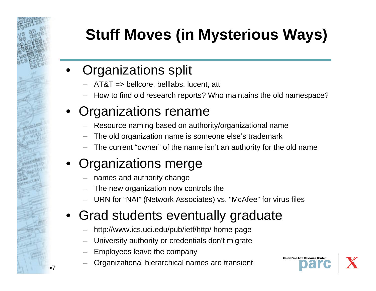# **Stuff Moves (in Mysterious Ways)**

- • Organizations split
	- AT&T => bellcore, belllabs, lucent, att
	- –How to find old research reports? Who maintains the old namespace?

#### • Organizations rename

- Resource naming based on authority/organizational name
- The old organization name is someone else's trademark
- The current "owner" of the name isn't an authority for the old name

#### •Organizations merge

- names and authority change
- The new organization now controls the
- –URN for "NAI" (Network Associates) vs. "McAfee" for virus files

### • Grad students eventually graduate

- http://www.ics.uci.edu/pub/ietf/http/ home page
- University authority or credentials don't migrate
- Employees leave the company
- Organizational hierarchical names are transient

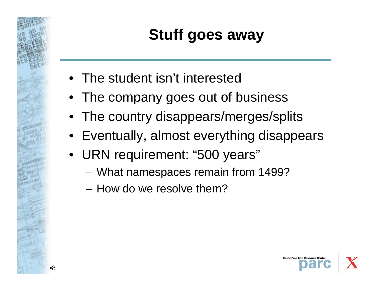# **Stuff goes away**

- The student isn't interested
- The company goes out of business
- The country disappears/merges/splits
- Eventually, almost everything disappears
- URN requirement: "500 years"
	- –What namespaces remain from 1499?
	- How do we resolve them?

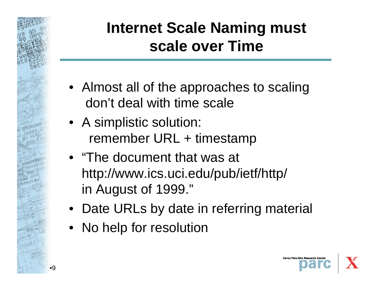## **Internet Scale Naming must scale over Time**

- Almost all of the approaches to scaling don't deal with time scale
- A simplistic solution: remember URL + timestamp
- "The document that was at http://www.ics.uci.edu/pub/ietf/http/ in August of 1999."
- Date URLs by date in referring material
- No help for resolution

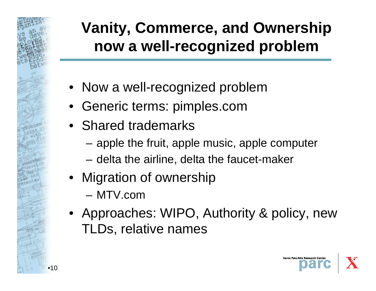## **Vanity, Commerce, and Ownership now a well-recognized problem**

- Now a well-recognized problem
- Generic terms: pimples.com
- Shared trademarks
	- and the state of the apple the fruit, apple music, apple computer
	- and the state of the delta the airline, delta the faucet-maker
- Migration of ownership
	- MTV.com
- Approaches: WIPO, Authority & policy, new TLDs, relative names

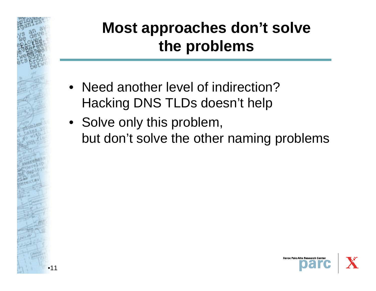## **Most approaches don't solve the problems**

- • Need another level of indirection?Hacking DNS TLDs doesn't help
- Solve only this problem, but don't solve the other naming problems

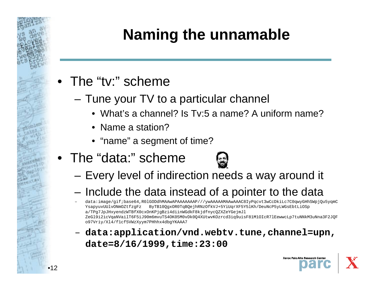## **Naming the unnamable**

- The "tv:" scheme
	- **Links of the Common**  Tune your TV to a particular channel
		- What's a channel? Is Tv:5 a name? A uniform name?
		- Name a station?
		- "name" a segment of time?
- The "data:" scheme



- –Every level of indirection needs a way around it
- –Include the data instead of a pointer to the data

 data:image/gif;base64,R0lGODdhMAAwAPAAAAAAAP///ywAAAAAMAAwAAAC8IyPqcvt3wCcDkiLc7C0qwyGHhSWpjQu5yqmC YsapyuvUUlvONmOZtfzgFz ByTB10QgxOR0TqBQejhRNzOfkVJ+5YiUqrXF5Y5lKh/DeuNcP5yLWGsEbtLiOSp a/TPg7JpJHxyendzWTBfX0cxOnKPjgBzi4diinWGdkF8kjdfnycQZXZeYGejmJl ZeGl9i2icVqaNVailT6F5iJ90m6mvuTS4OK05M0vDk0Q4XUtwvKOzrcd3iq9uisF81M1OIcR7lEewwcLp7tuNNkM3uNna3F2JQF o97Vriy/Xl4/f1cf5VWzXyym7PHhhx4dbgYKAAA7

– **data:application/vnd.webtv.tune,channel=upn, date=8/16/1999,time:23:00**

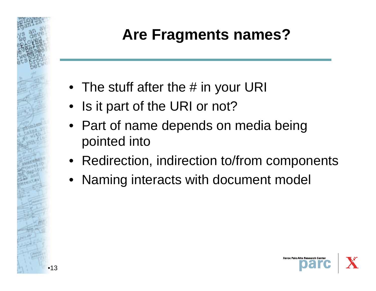## **Are Fragments names?**

- The stuff after the # in your URI
- Is it part of the URI or not?
- Part of name depends on media being pointed into
- Redirection, indirection to/from components
- •Naming interacts with document model

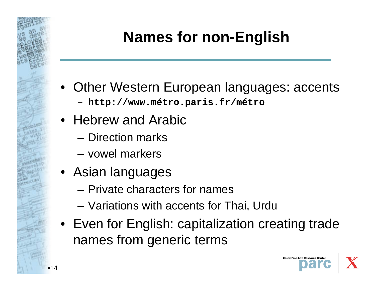# **Names for non-English**

- Other Western European languages: accents
	- **http://www.métro.paris.fr/métro**
- Hebrew and Arabic
	- Direction marks
	- vowel markers
- Asian languages
	- Private characters for names
	- **Links of the Common** Variations with accents for Thai, Urdu
- Even for English: capitalization creating trade names from generic terms